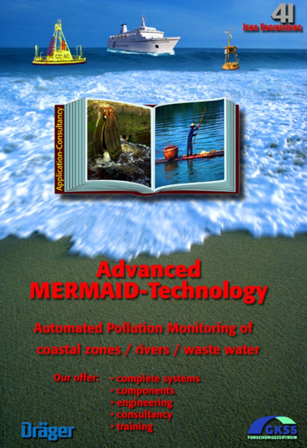





# Advanced<br>MERMAID-Technology

**Automated Pollution Monitoring of** coastal zones / rivers / waste water

**Our offer: \* complete systems \* components • engineering** • consultancy · training Dräger

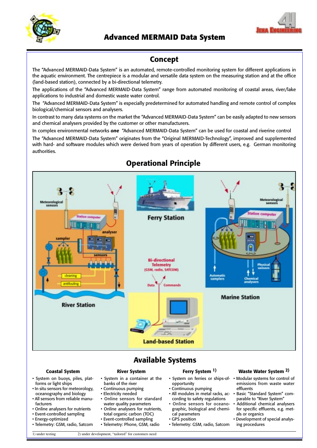



# **Advanced MERMAID Data System**

# **Concept**

The "Advanced MERMAID-Data System" is an automated, remote-controlled monitoring system for different applications in the aquatic environment. The centrepiece is a modular and versatile data system on the measuring station and at the office (land-based station), connected by a bi-directional telemetry.

The applications of the "Advanced MERMAID-Data System" range from automated monitoring of coastal areas, river/lake applications to industrial and domestic waste water control.

The "Advanced MERMAID-Data System" is especially predetermined for automated handling and remote control of complex biological/chemical sensors and analysers.

In contrast to many data systems on the market the "Advanced MERMAID-Data System" can be easily adapted to new sensors and chemical analysers provided by the customer or other manufacturers.

In complex environmental networks *one* "Advanced MERMAID-Data System" can be used for coastal and riverine control The "Advanced MERMAID-Data System" originates from the "Original MERMAID-Technology", improved and supplemented with hard- and software modules which were derived from years of operation by different users, e.g. German monitoring authorities.



# **Operational Principle**

# **Available Systems**

### **Coastal System**

- System on buoys, piles, platforms or light ships
- In situ sensors for meteorology, oceanography and biology
- All sensors from reliable manufacturers
- Online analysers for nutrients
- Event-controlled sampling
- Energy-optimized
- Telemetry: GSM, radio, Satcom

**River System** • System in a container at the

- banks of the river
- Continuous pumping
- Electricity needed • Online sensors for standard
- water quality parameters • Online analysers for nutrients,
- total organic carbon (TOC)
- Event-controlled sampling
- Telemetry: Phone, GSM, radio

### **Ferry System 1)**

- opportunity
- Continuous pumping
- All modules in metal racks, according to safety regulations
- Online sensors for oceanographic, biological and chemical parameters
- GPS position
- Telemetry: GSM, radio, Satcom

### **Waste Water System 2)**

- System on ferries or ships-of-• Modular systems for control of emissions from waste water effluents
	- Basic "Standard System" comparable to "River System"
	- Additional chemical analysers for specific effluents, e.g. metals or organics
	- Development of special analysing procedures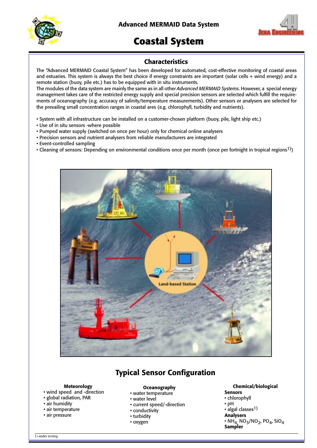



# **Coastal System**

### **Characteristics**

The "Advanced MERMAID Coastal System" has been developed for automated, cost-effective monitoring of coastal areas and estuaries. This system is always the best choice if energy constraints are important (solar cells + wind energy) and a remote station (buoy, pile etc.) has to be equipped with in situ instruments.

The modules of the data system are mainly the same as in all other *Advanced MERMAID Systems*. However, a special energy management takes care of the restricted energy supply and special precision sensors are selected which fulfill the requirements of oceanography (e.g. accuracy of salinity/temperature measurements). Other sensors or analysers are selected for the prevailing small concentration ranges in coastal ares (e.g. chlorophyll, turbidity and nutrients).

- System with all infrastructure can be installed on a customer-chosen platform (buoy, pile, light ship etc.)
- Use of in situ sensors -where possible
- Pumped water supply (switched on once per hour) only for chemical online analysers
- Precision sensors and nutrient analysers from reliable manufacturers are integrated
- Event-controlled sampling
- Cleaning of sensors: Depending on environmental conditions once per month (once per fortnight in tropical regions<sup>1)</sup>)



# **Typical Sensor Configuration**

### **Meteorology**

- wind speed and -direction
- global radiation, PAR
- air humidity
- air temperature
- air pressure

### **Oceanography**

- water temperature
- water level
- current speed/-direction
- conductivity
- turbidity
- oxygen

- **Chemical/biological Sensors**
- chlorophyll
- pH
- $\cdot$  algal classes<sup>1)</sup>
- **Analysers**
- $\cdot$  NH<sub>4,</sub> NO<sub>3</sub>/NO<sub>2</sub>, PO<sub>4</sub>, SiO<sub>4</sub> **Sampler**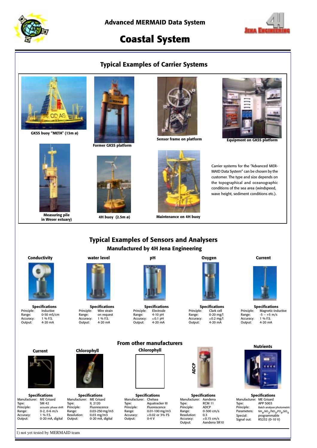



# **Coastal System**

### **Typical Examples of Carrier Systems**



**GKSS buoy "META" (13m ø)**



**in Weser estuary)**



**Former GKSS platform**



**4H buoy (2.5m ø)**





**Sensor frame on platform Equipment on GKSS platform**

Carrier systems for the "Advanced MER-MAID Data System" can be chosen by the customer. The type and size depends on the topographical and oceanographic conditions of the sea area (windspeed, wave height, sediment conditions etc.).

### **Typical Examples of Sensors and Analysers Manufactured by 4H Jena Engineering**



**Specifications**<br>Principle: Inductive Inductive  $0-50$  mS/cm<br> $1\%$  F.S. France:<br>Range:<br>Accuracy:<br>Output:  $4-20$  mA



**Specifications**<br>Principle: Wire strain Principle: Wire strain<br>Range: on request external<br>on request<br>1 % F.S. Accuracy:<br>Output:  $4-20$  mA



**Specifications**<br>Principle: Electrode Electrode<br>4-10 pH<br> $\pm$ 0.1 pH Range: 4-10 pH Accuracy: ±0.1 pH Output: 4-20 mA



**Specifications**<br>Principle: Clark cell Principle: Clark cell<br>Range: 0-20 mg/ Range: 0-20 mg/l Accuracy: ±0.2 mg/l Output: 4-20 mA



**Specifications**<br>Principle: Magnetic-indu Magnetic-inductive  $-5 - +5$  m/s<br>1 % F.S. Pange:<br>Range:<br>Accuracy:<br>Output:  $4-20$  mA





**Specifications** Manufacturer: ME Grisard Type: APP 5003 Principle: Batch analyser photometric<br>Parameters: NH<sub>4</sub>,NO<sub>2</sub>/NO<sub>3</sub>,PO<sub>4</sub>,SiO<sub>4</sub> rype.<br>Principle:<br>Parameters:<br>Special: Special: programmable Signal out: RS232 (0-10 V)



**Specifications** Manufacturer: ME Grisard Type: SM 42 Principle: acoustic phase shift Range: 0-2, 0-6 m/s Accuracy: 1 % F.S. Output: 0-20 mA, digital

1) not yet tested by MERMAID team



**Specifications** Manufacturer: ME Grisard Type: IL 2120 Principle: Fluorescence Range: 0.03-250 mg/m3 Resolution: 0.03 mg/m3 Output: 0-20 mA, digital



Output:



**Specifications** Manufacturer: Chelsea Type: Aquatracker III Principle: Fluorescence Range: 0.01-100 mg/m3 Accuracy:  $\pm 0.02$  or 3% FS<br>Output: 0-4 V



**Specifications** Manufacturer:<br>Type: Aanderra<br>RCM 11 Principle:<br>Range: ADCP<br>0-300 cm/s<br>0.3 Resolution:<br>Accuracy:<br>Output:  $\pm$ 0.15 cm/s Aanderra SR10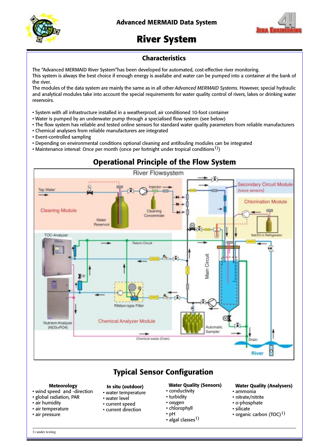



# **River System**

### **Characteristics**

The "Advanced MERMAID River System"has been developed for automated, cost-effective river monitoring. This system is always the best choice if enough energy is availabe and water can be pumped into a container at the bank of the river.

The modules of the data system are mainly the same as in all other *Advanced MERMAID Systems*. However, special hydraulic and analytical modules take into account the special requirements for water quality control of rivers, lakes or drinking water reservoirs.

- System with all infrastructure installed in a weatherproof, air conditioned 10-foot container
- Water is pumped by an underwater pump through a specialised flow system (see below)
- The flow system has reliable and tested online sensors for standard water quality parameters from reliable manufacturers
- Chemical analysers from reliable manufacturers are integrated
- Event-controlled sampling
- Depending on environmental conditions optional cleaning and antifouling modules can be integrated
- Maintenance interval: Once per month (once per fortnight under tropical conditions<sup>1)</sup>)



# **Operational Principle of the Flow System**

# **Typical Sensor Configuration**

### **Meteorology**

- wind speed and -direction
- global radiation, PAR
- air humidity
- air temperature
- air pressure
- water temperature • water level
- current speed
- current direction
	-

**In situ (outdoor)**

### **Water Quality (Sensors)**

- conductivity
- turbidity
- oxygen
- chlorophyll
- pH • algal classes $^{1)}$

### **Water Quality (Analysers)**

- ammonia
- nitrate/nitrite
- o-phosphate
- silicate
- organic carbon (TOC)<sup>1)</sup>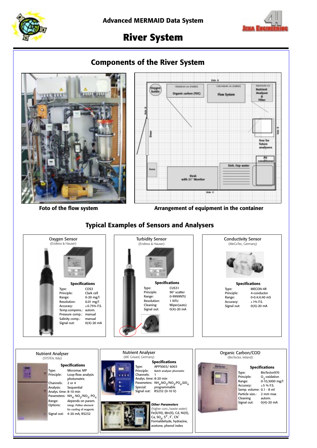



# **River System**

# **Components of the River System**





Foto of the flow system **Arrangement of equipment in the container** 

## **Typical Examples of Sensors and Analysers**

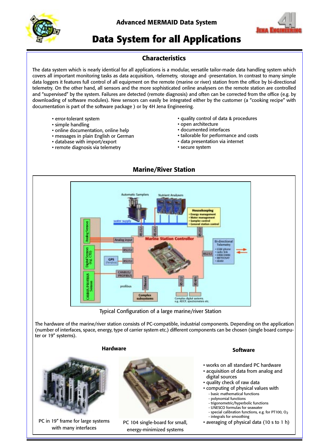

**Advanced MERMAID Data System**



# **Data System for all Applications**

### **Characteristics**

The data system which is nearly identical for all applications is a modular, versatile tailor-made data handling system which covers all important monitoring tasks as data acquisition, -telemetry, -storage and -presentation. In contrast to many simple data loggers it features full control of all equipment on the remote (marine or river) station from the office by bi-directional telemetry. On the other hand, all sensors and the more sophisticated online analysers on the remote station are controlled and "supervised" by the system. Failures are detected (remote diagnosis) and often can be corrected from the office (e.g. by downloading of software modules). New sensors can easily be integrated either by the customer (a "cooking recipe" with documentation is part of the software package ) or by 4H Jena Engineering.

- error-tolerant system
- simple handling
- online documentation, online help
- messages in plain English or German
- database with import/export
- remote diagnosis via telemetry
- quality control of data & procedures
- open architecture
- documented interfaces
- tailorable for performance and costs
- data presentation via internet
- secure system



Typical Configuration of a large marine/river Station

The hardware of the marine/river station consists of PC-compatible, industrial components. Depending on the application (number of interfaces, space, energy, type of carrier system etc.) different components can be chosen (single board computer or 19" systems).

### **Hardware**



PC in 19" frame for large systems with many interfaces



PC 104 single-board for small, energy-minimized systems

### **Software**

- works on all standard PC hardware
- acquisition of data from analog and digital sources
- quality check of raw data
- computing of physical values with
	- basic mathematical functions - polynomial functions
	- trigonometric/hyperbolic functions
	- UNESCO formulas for seawater
	- special calibration functions, e.g. for PT100,  $O<sub>2</sub>$
	- integrals for smoothing
- averaging of physical data (10 s to 1 h)

### **Marine/River Station**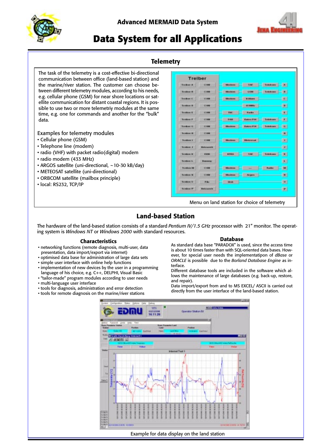

**Advanced MERMAID Data System**



# **Data System for all Applications**

### **Telemetry**

The task of the telemetry is a cost-effective bi-directional communication between office (land-based station) and the marine/river station. The customer can choose between different telemetry modules, according to his needs, e.g. cellular phone (GSM) for near shore locations or satellite communication for distant coastal regions. It is possible to use two or more telemetriy modules at the same time, e.g. one for commands and another for the "bulk" data.

Examples for telemetry modules

- Cellular phone (GSM)
- Telephone line (modem)
- radio (VHF) with packet radio(digital) modem
- radio modem (433 MHz)
- ARGOS satellite (uni-directional, ~10-30 kB/day)
- METEOSAT satellite (uni-directional)
- ORBCOM satellite (mailbox principle)
- local: RS232, TCP/IP

|                     | <b>Treiber</b>               |                   |                                       |                  |                  |
|---------------------|------------------------------|-------------------|---------------------------------------|------------------|------------------|
| <b>Treiburg A</b>   | 101104                       | <b>Edminator</b>  | 3.64                                  | Teksbisen        | $\mathbf{A}$     |
| <b>Trusteen 6</b>   | 10.1968                      | <b>Education</b>  | <b>GRAN</b>                           | Teknikowski      | $\mathbf{B}$ .   |
| <b>Traduce di</b>   | 6.064                        | <b>Education</b>  | <b><i><u><u>biologica</u></u></i></b> |                  | 3                |
| <b>Transport Rd</b> | <b>COM</b>                   |                   | <b>ALIMBAC</b>                        |                  | B.               |
| <b>Trusteen E</b>   | <b>图 X W M</b>               | THE               | <b>Backs</b>                          |                  | W.               |
| <b>Tradition F</b>  | 10,044                       | <b>FIAR</b>       | <b>Euros Pin</b>                      | <b>Teknissan</b> | -12              |
| Trading G.          | <b>ICKWA</b>                 | Electroni         | <b>Dates PJW</b>                      | <b>Teknikowa</b> | 15               |
| <b>Templement</b>   | <b>IC CASE</b>               |                   |                                       |                  | $\mathbf{H}$     |
| <b>Trustane</b> &   | <b>IC CHIA</b>               | <b>Education</b>  | <b>Skrivenad</b>                      |                  | <b>B</b>         |
| Territors J.        | <b>Electronical</b>          |                   |                                       |                  | œ.               |
| Tradition &         | 91,6241                      | <b>BITKA</b>      | 3.68                                  | Intrinsen        | B.               |
| Tredium 1.          | <b><i><u>Exempty</u></i></b> |                   |                                       |                  | $\mathbf{r}$     |
| <b>Treature Ed.</b> | <b>IC OBA</b>                | <b>Electron</b>   | and in                                | <b>Radio</b>     | M                |
| <b>Treatmen M.</b>  | <b>ICKWA</b>                 | <b>Electronic</b> | days                                  |                  | $\mathbf{H}$     |
| Tredioec (i)        | <b>Filter</b>                | <b>ENIME</b>      |                                       |                  | $\boldsymbol{n}$ |
| Tradition #1        | <b>Bleck process the</b>     |                   |                                       |                  | 图                |

Menu on land station for choice of telemetry

### **Land-based Station**

The hardware of the land-based station consists of a standard *Pentium IV/1.5 GHz* processor with 21" monitor. The operating system is *Windows NT* or *Windows 2000* with standard resources.

### **Characteristics**

- networking functions (remote diagnosis, multi-user, data presentation, data import/export via internet)
- optimised data base for administration of large data sets • simple user interface with online help functions
- implementation of new devices by the user in a programming
- language of his choice, e.g. C++, DELPHI, Visual Basic • "tailor-made" program modules according to user needs
- multi-language user interface
- tools for diagnosis, administration and error detection
- tools for remote diagnosis on the marine/river stations

### **Database**

As standard data base "PARADOX" is used, since the access time is about 10 times faster than with SQL-oriented data bases. However, for special user needs the implementatipon of *dBase* or *ORACLE* is possible due to the *Borland Database Engine* as interface.

Different database tools are included in the software which allows the maintenance of large databases (e.g. back-up, restore, and repair).

Data import/export from and to MS EXCEL/ ASCII is carried out directly from the user interface of the land-based station.

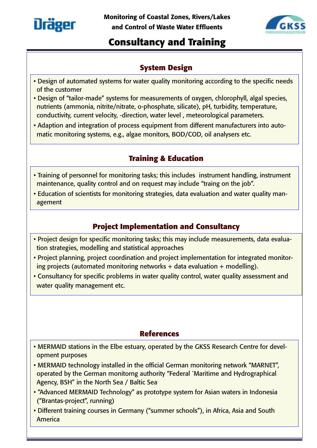



# **Consultancy and Training**

# **System Design**

- Design of automated systems for water quality monitoring according to the specific needs of the customer
- Design of "tailor-made" systems for measurements of oxygen, chlorophyll, algal species, nutrients (ammonia, nitrite/nitrate, o-phosphate, silicate), pH, turbidity, temperature, conductivity, current velocity, -direction, water level , meteorological parameters.
- Adaption and integration of process equipment from different manufacturers into automatic monitoring systems, e.g., algae monitors, BOD/COD, oil analysers etc.

# **Training & Education**

- Training of personnel for monitoring tasks; this includes instrument handling, instrument maintenance, quality control and on request may include "traing on the job".
- Education of scientists for monitoring strategies, data evaluation and water quality management

# **Project Implementation and Consultancy**

- Project design for specific monitoring tasks; this may include measurements, data evaluation strategies, modelling and statistical approaches
- Project planning, project coordination and project implementation for integrated monitoring projects (automated monitoring networks  $+$  data evaluation  $+$  modelling).
- Consultancy for specific problems in water quality control, water quality assessment and water quality management etc.

# **References**

- MERMAID stations in the Elbe estuary, operated by the GKSS Research Centre for development purposes
- MERMAID technology installed in the official German monitoring network "MARNET", operated by the German monitorng authority "Federal ´Maritime and Hydrographical Agency, BSH" in the North Sea / Baltic Sea
- "Advanced MERMAID Technology" as prototype system for Asian waters in Indonesia ("Brantas-project", running)
- Different training courses in Germany ("summer schools"), in Africa, Asia and South America